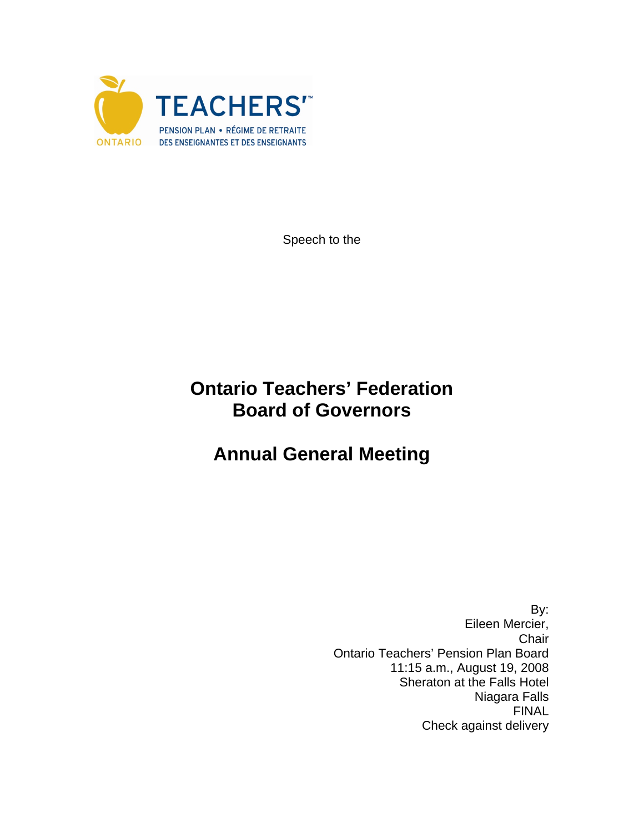

Speech to the

## **Ontario Teachers' Federation Board of Governors**

## **Annual General Meeting**

 By: Eileen Mercier, Chair Ontario Teachers' Pension Plan Board 11:15 a.m., August 19, 2008 Sheraton at the Falls Hotel Niagara Falls FINAL Check against delivery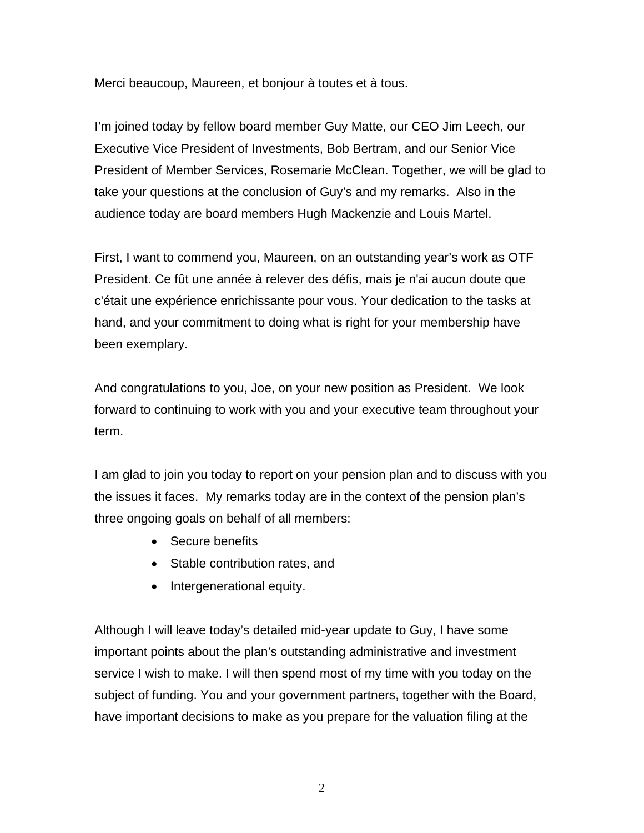Merci beaucoup, Maureen, et bonjour à toutes et à tous.

I'm joined today by fellow board member Guy Matte, our CEO Jim Leech, our Executive Vice President of Investments, Bob Bertram, and our Senior Vice President of Member Services, Rosemarie McClean. Together, we will be glad to take your questions at the conclusion of Guy's and my remarks. Also in the audience today are board members Hugh Mackenzie and Louis Martel.

First, I want to commend you, Maureen, on an outstanding year's work as OTF President. Ce fût une année à relever des défis, mais je n'ai aucun doute que c'était une expérience enrichissante pour vous. Your dedication to the tasks at hand, and your commitment to doing what is right for your membership have been exemplary.

And congratulations to you, Joe, on your new position as President. We look forward to continuing to work with you and your executive team throughout your term.

I am glad to join you today to report on your pension plan and to discuss with you the issues it faces. My remarks today are in the context of the pension plan's three ongoing goals on behalf of all members:

- Secure benefits
- Stable contribution rates, and
- Intergenerational equity.

Although I will leave today's detailed mid-year update to Guy, I have some important points about the plan's outstanding administrative and investment service I wish to make. I will then spend most of my time with you today on the subject of funding. You and your government partners, together with the Board, have important decisions to make as you prepare for the valuation filing at the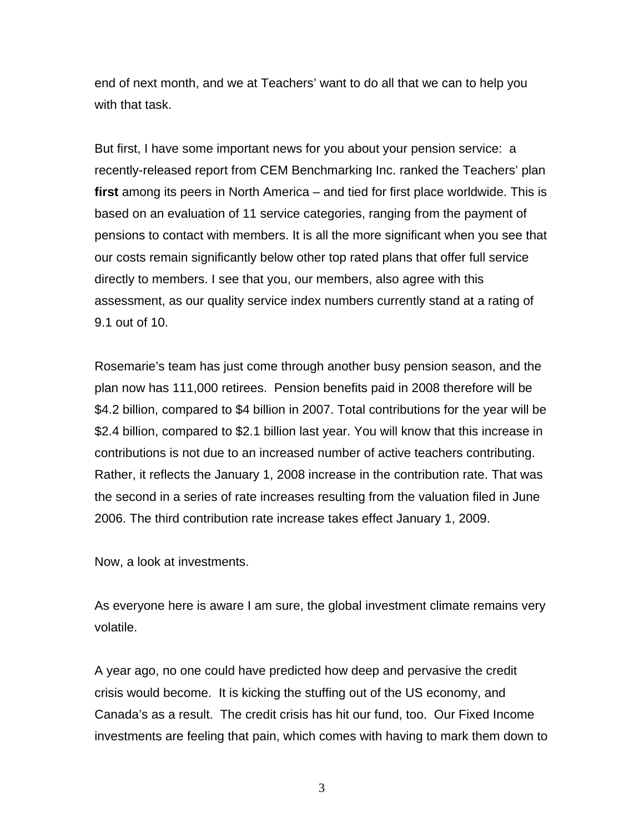end of next month, and we at Teachers' want to do all that we can to help you with that task.

But first, I have some important news for you about your pension service: a recently-released report from CEM Benchmarking Inc. ranked the Teachers' plan **first** among its peers in North America – and tied for first place worldwide. This is based on an evaluation of 11 service categories, ranging from the payment of pensions to contact with members. It is all the more significant when you see that our costs remain significantly below other top rated plans that offer full service directly to members. I see that you, our members, also agree with this assessment, as our quality service index numbers currently stand at a rating of 9.1 out of 10.

Rosemarie's team has just come through another busy pension season, and the plan now has 111,000 retirees. Pension benefits paid in 2008 therefore will be \$4.2 billion, compared to \$4 billion in 2007. Total contributions for the year will be \$2.4 billion, compared to \$2.1 billion last year. You will know that this increase in contributions is not due to an increased number of active teachers contributing. Rather, it reflects the January 1, 2008 increase in the contribution rate. That was the second in a series of rate increases resulting from the valuation filed in June 2006. The third contribution rate increase takes effect January 1, 2009.

Now, a look at investments.

As everyone here is aware I am sure, the global investment climate remains very volatile.

A year ago, no one could have predicted how deep and pervasive the credit crisis would become. It is kicking the stuffing out of the US economy, and Canada's as a result. The credit crisis has hit our fund, too. Our Fixed Income investments are feeling that pain, which comes with having to mark them down to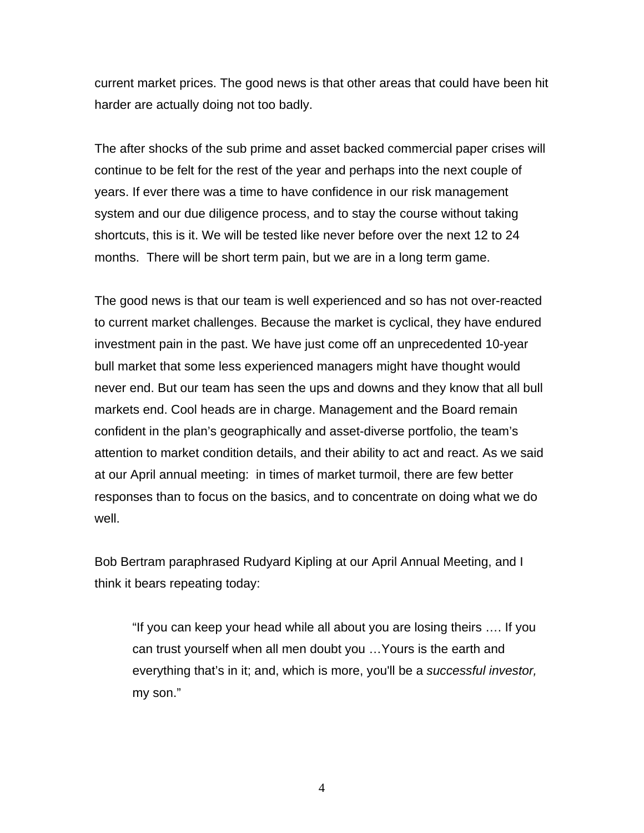current market prices. The good news is that other areas that could have been hit harder are actually doing not too badly.

The after shocks of the sub prime and asset backed commercial paper crises will continue to be felt for the rest of the year and perhaps into the next couple of years. If ever there was a time to have confidence in our risk management system and our due diligence process, and to stay the course without taking shortcuts, this is it. We will be tested like never before over the next 12 to 24 months. There will be short term pain, but we are in a long term game.

The good news is that our team is well experienced and so has not over-reacted to current market challenges. Because the market is cyclical, they have endured investment pain in the past. We have just come off an unprecedented 10-year bull market that some less experienced managers might have thought would never end. But our team has seen the ups and downs and they know that all bull markets end. Cool heads are in charge. Management and the Board remain confident in the plan's geographically and asset-diverse portfolio, the team's attention to market condition details, and their ability to act and react. As we said at our April annual meeting: in times of market turmoil, there are few better responses than to focus on the basics, and to concentrate on doing what we do well.

Bob Bertram paraphrased Rudyard Kipling at our April Annual Meeting, and I think it bears repeating today:

"If you can keep your head while all about you are losing theirs …. If you can trust yourself when all men doubt you …Yours is the earth and everything that's in it; and, which is more, you'll be a *successful investor,* my son."

4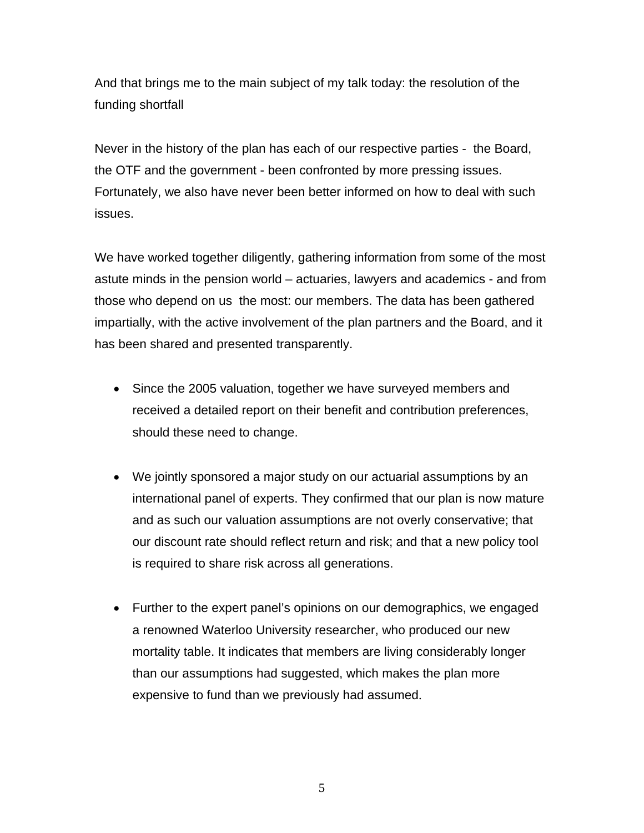And that brings me to the main subject of my talk today: the resolution of the funding shortfall

Never in the history of the plan has each of our respective parties - the Board, the OTF and the government - been confronted by more pressing issues. Fortunately, we also have never been better informed on how to deal with such issues.

We have worked together diligently, gathering information from some of the most astute minds in the pension world – actuaries, lawyers and academics - and from those who depend on us the most: our members. The data has been gathered impartially, with the active involvement of the plan partners and the Board, and it has been shared and presented transparently.

- Since the 2005 valuation, together we have surveyed members and received a detailed report on their benefit and contribution preferences, should these need to change.
- We jointly sponsored a major study on our actuarial assumptions by an international panel of experts. They confirmed that our plan is now mature and as such our valuation assumptions are not overly conservative; that our discount rate should reflect return and risk; and that a new policy tool is required to share risk across all generations.
- Further to the expert panel's opinions on our demographics, we engaged a renowned Waterloo University researcher, who produced our new mortality table. It indicates that members are living considerably longer than our assumptions had suggested, which makes the plan more expensive to fund than we previously had assumed.

5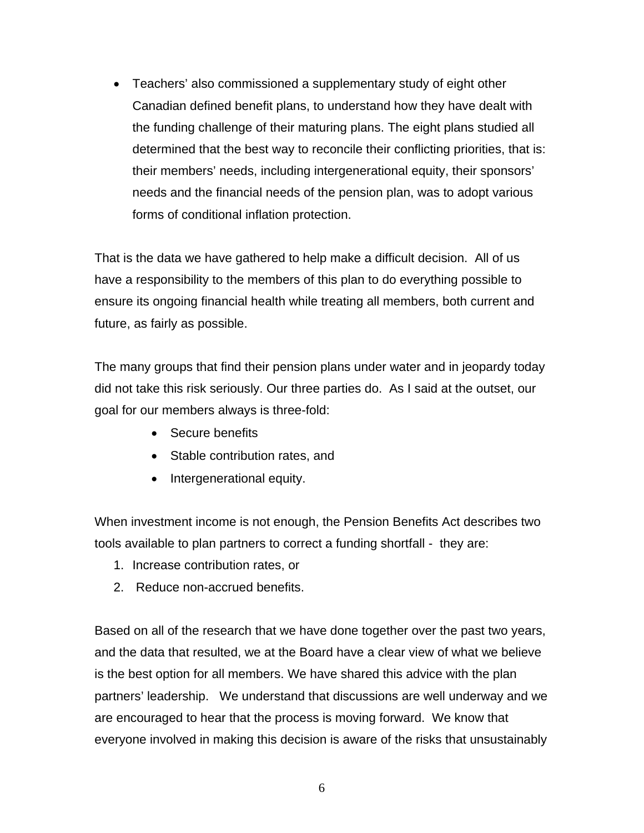• Teachers' also commissioned a supplementary study of eight other Canadian defined benefit plans, to understand how they have dealt with the funding challenge of their maturing plans. The eight plans studied all determined that the best way to reconcile their conflicting priorities, that is: their members' needs, including intergenerational equity, their sponsors' needs and the financial needs of the pension plan, was to adopt various forms of conditional inflation protection.

That is the data we have gathered to help make a difficult decision. All of us have a responsibility to the members of this plan to do everything possible to ensure its ongoing financial health while treating all members, both current and future, as fairly as possible.

The many groups that find their pension plans under water and in jeopardy today did not take this risk seriously. Our three parties do. As I said at the outset, our goal for our members always is three-fold:

- Secure benefits
- Stable contribution rates, and
- Intergenerational equity.

When investment income is not enough, the Pension Benefits Act describes two tools available to plan partners to correct a funding shortfall - they are:

- 1. Increase contribution rates, or
- 2. Reduce non-accrued benefits.

Based on all of the research that we have done together over the past two years, and the data that resulted, we at the Board have a clear view of what we believe is the best option for all members. We have shared this advice with the plan partners' leadership. We understand that discussions are well underway and we are encouraged to hear that the process is moving forward. We know that everyone involved in making this decision is aware of the risks that unsustainably